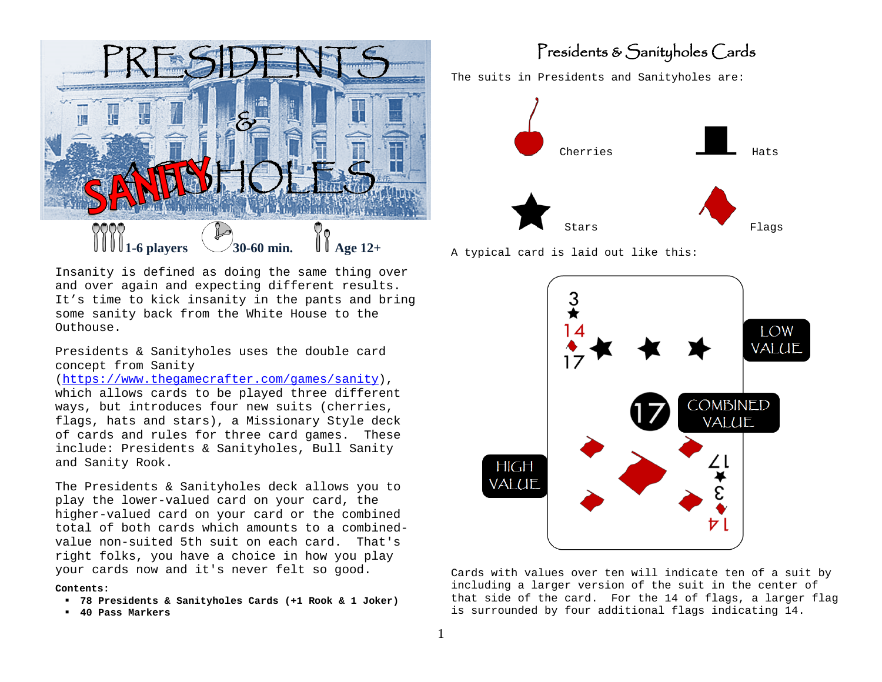

Insanity is defined as doing the same thing over and over again and expecting different results. It's time to kick insanity in the pants and bring some sanity back from the White House to the Outhouse.

Presidents & Sanityholes uses the double card concept from Sanity

[\(https://www.thegamecrafter.com/games/sanity\)](https://www.thegamecrafter.com/games/sanity), which allows cards to be played three different ways, but introduces four new suits (cherries, flags, hats and stars), a Missionary Style deck of cards and rules for three card games. These include: Presidents & Sanityholes, Bull Sanity and Sanity Rook.

The Presidents & Sanityholes deck allows you to play the lower-valued card on your card, the higher-valued card on your card or the combined total of both cards which amounts to a combinedvalue non-suited 5th suit on each card. That's right folks, you have a choice in how you play your cards now and it's never felt so good.

#### **Contents:**

- **78 Presidents & Sanityholes Cards (+1 Rook & 1 Joker)**
- **40 Pass Markers**

### Presidents & Sanityholes Cards

The suits in Presidents and Sanityholes are:







Cards with values over ten will indicate ten of a suit by including a larger version of the suit in the center of that side of the card. For the 14 of flags, a larger flag is surrounded by four additional flags indicating 14.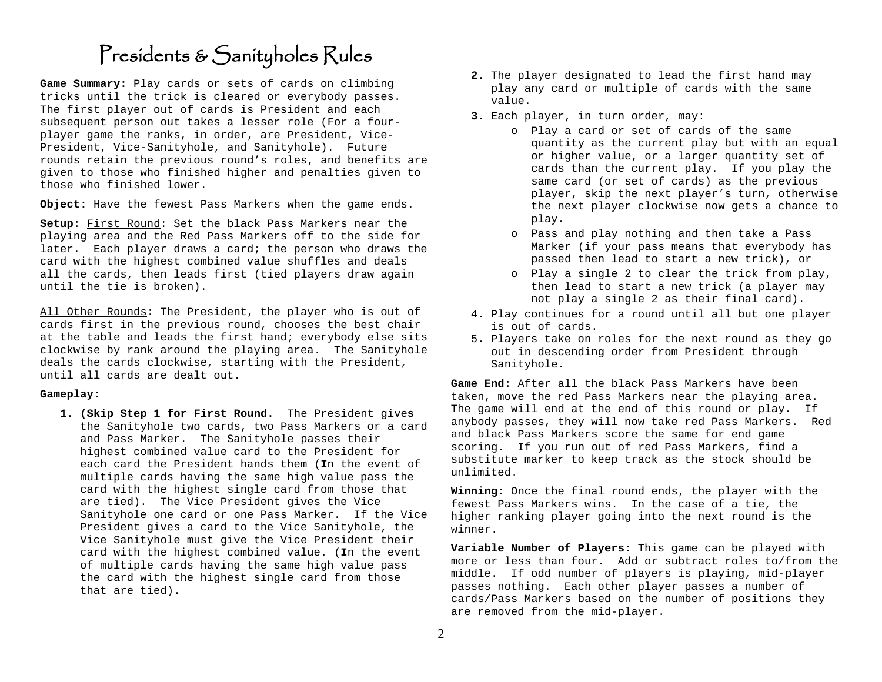### Presidents & Sanityholes Rules

**Game Summary:** Play cards or sets of cards on climbing tricks until the trick is cleared or everybody passes. The first player out of cards is President and each subsequent person out takes a lesser role (For a fourplayer game the ranks, in order, are President, Vice-President, Vice-Sanityhole, and Sanityhole). Future rounds retain the previous round's roles, and benefits are given to those who finished higher and penalties given to those who finished lower.

**Object:** Have the fewest Pass Markers when the game ends.

**Setup:** First Round: Set the black Pass Markers near the playing area and the Red Pass Markers off to the side for later. Each player draws a card; the person who draws the card with the highest combined value shuffles and deals all the cards, then leads first (tied players draw again until the tie is broken).

All Other Rounds: The President, the player who is out of cards first in the previous round, chooses the best chair at the table and leads the first hand; everybody else sits clockwise by rank around the playing area. The Sanityhole deals the cards clockwise, starting with the President, until all cards are dealt out.

#### **Gameplay:**

**1. (Skip Step 1 for First Round.** The President give**s**  the Sanityhole two cards, two Pass Markers or a card and Pass Marker. The Sanityhole passes their highest combined value card to the President for each card the President hands them (**I**n the event of multiple cards having the same high value pass the card with the highest single card from those that are tied). The Vice President gives the Vice Sanityhole one card or one Pass Marker. If the Vice President gives a card to the Vice Sanityhole, the Vice Sanityhole must give the Vice President their card with the highest combined value. (**I**n the event of multiple cards having the same high value pass the card with the highest single card from those that are tied).

- **2.** The player designated to lead the first hand may play any card or multiple of cards with the same value.
- **3.** Each player, in turn order, may:
	- o Play a card or set of cards of the same quantity as the current play but with an equal or higher value, or a larger quantity set of cards than the current play. If you play the same card (or set of cards) as the previous player, skip the next player's turn, otherwise the next player clockwise now gets a chance to play.
	- o Pass and play nothing and then take a Pass Marker (if your pass means that everybody has passed then lead to start a new trick), or
	- o Play a single 2 to clear the trick from play, then lead to start a new trick (a player may not play a single 2 as their final card).
- 4. Play continues for a round until all but one player is out of cards.
- 5. Players take on roles for the next round as they go out in descending order from President through Sanityhole.

**Game End:** After all the black Pass Markers have been taken, move the red Pass Markers near the playing area. The game will end at the end of this round or play. If anybody passes, they will now take red Pass Markers. Red and black Pass Markers score the same for end game scoring. If you run out of red Pass Markers, find a substitute marker to keep track as the stock should be unlimited.

**Winning:** Once the final round ends, the player with the fewest Pass Markers wins. In the case of a tie, the higher ranking player going into the next round is the winner.

**Variable Number of Players:** This game can be played with more or less than four. Add or subtract roles to/from the middle. If odd number of players is playing, mid-player passes nothing. Each other player passes a number of cards/Pass Markers based on the number of positions they are removed from the mid-player.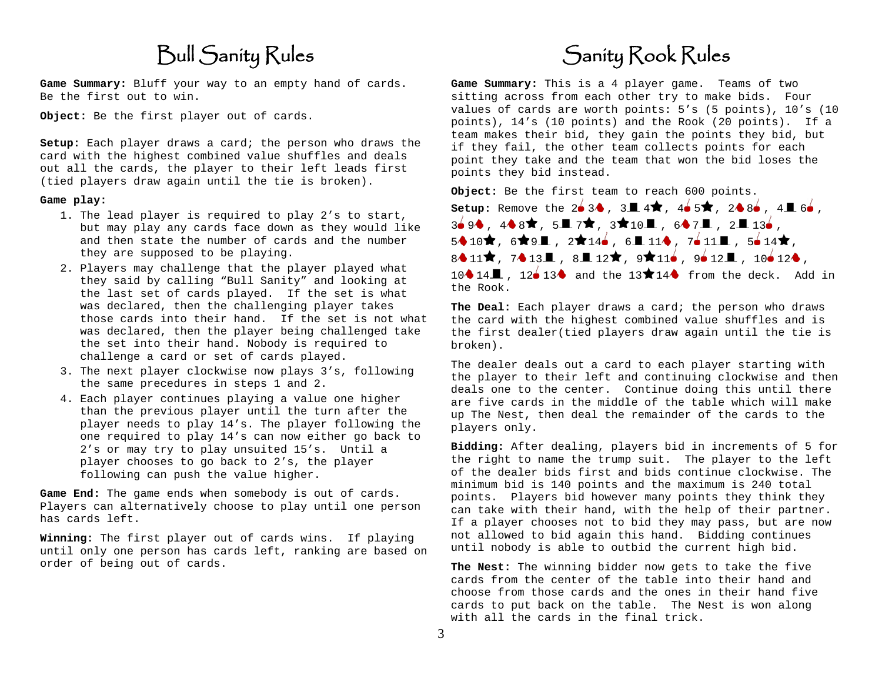# Bull Sanity Rules

**Game Summary:** Bluff your way to an empty hand of cards. Be the first out to win.

**Object:** Be the first player out of cards.

**Setup:** Each player draws a card; the person who draws the card with the highest combined value shuffles and deals out all the cards, the player to their left leads first (tied players draw again until the tie is broken).

#### **Game play:**

- 1. The lead player is required to play 2's to start, but may play any cards face down as they would like and then state the number of cards and the number they are supposed to be playing.
- 2. Players may challenge that the player played what they said by calling "Bull Sanity" and looking at the last set of cards played. If the set is what was declared, then the challenging player takes those cards into their hand. If the set is not what was declared, then the player being challenged take the set into their hand. Nobody is required to challenge a card or set of cards played.
- 3. The next player clockwise now plays 3's, following the same precedures in steps 1 and 2.
- 4. Each player continues playing a value one higher than the previous player until the turn after the player needs to play 14's. The player following the one required to play 14's can now either go back to 2's or may try to play unsuited 15's. Until a player chooses to go back to 2's, the player following can push the value higher.

**Game End:** The game ends when somebody is out of cards. Players can alternatively choose to play until one person has cards left.

**Winning:** The first player out of cards wins. If playing until only one person has cards left, ranking are based on order of being out of cards.

# Sanity Rook Rules

**Game Summary:** This is a 4 player game.Teams of two sitting across from each other try to make bids. Four values of cards are worth points: 5's (5 points), 10's (10 points), 14's (10 points) and the Rook (20 points). If a team makes their bid, they gain the points they bid, but if they fail, the other team collects points for each point they take and the team that won the bid loses the points they bid instead.

**Object:** Be the first team to reach 600 points. **Setup:** Remove the  $2\bullet 3\bullet$ ,  $3\blacksquare 4\bigstar$ ,  $4\bullet 5\bigstar$ ,  $2\bullet 8\bullet$ ,  $4\blacksquare 6\bullet$ . 3 $\bullet$  9 $\bullet$  , 4 $\bullet$ 8 $\star$  , 5 $\blacksquare$  7 $\star$  , 3 $\star$ 10 $\blacksquare$  , 6 $\bullet$ 7 $\blacksquare$  , 2 $\blacksquare$  13 $\bullet$  ,  $5 \cdot 10 \star$ ,  $6 \star 9$ ,  $2 \star 146$ ,  $6 = 11 \cdot 7611$ ,  $5614 \star$ ,  $8411\star$ ,  $7413\pm$ ,  $8\pm 12\star$ ,  $9\star 11\bullet$ ,  $9\bullet 12\pm$ ,  $10\bullet 12\bullet$ ,  $10 \cdot 14 \cdot 12 \cdot 13 \cdot 13$  and the  $13 \cdot 14 \cdot 14 \cdot 15$  from the deck. Add in the Rook.

**The Deal:** Each player draws a card; the person who draws the card with the highest combined value shuffles and is the first dealer(tied players draw again until the tie is broken).

The dealer deals out a card to each player starting with the player to their left and continuing clockwise and then deals one to the center. Continue doing this until there are five cards in the middle of the table which will make up The Nest, then deal the remainder of the cards to the players only.

**Bidding:** After dealing, players bid in increments of 5 for the right to name the trump suit. The player to the left of the dealer bids first and bids continue clockwise. The minimum bid is 140 points and the maximum is 240 total points. Players bid however many points they think they can take with their hand, with the help of their partner. If a player chooses not to bid they may pass, but are now not allowed to bid again this hand. Bidding continues until nobody is able to outbid the current high bid.

**The Nest:** The winning bidder now gets to take the five cards from the center of the table into their hand and choose from those cards and the ones in their hand five cards to put back on the table. The Nest is won along with all the cards in the final trick.